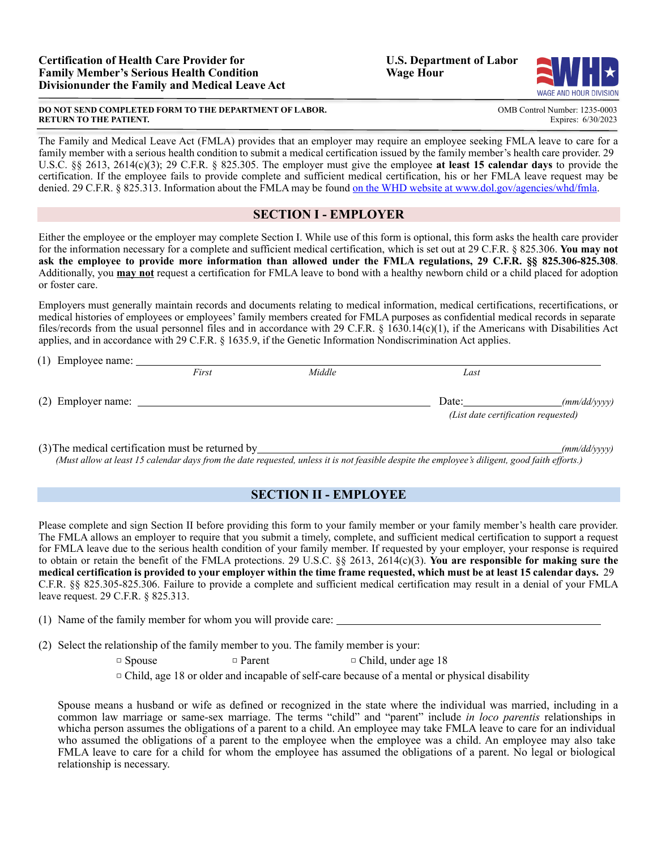$(1)$  Employee name:

#### **DO NOT SEND COMPLETED FORM TO THE DEPARTMENT OF LABOR.** COMPONE COMB Control Number: 1235-0003<br>RETURN TO THE PATIENT. **EXPITE RETURN TO THE PATIENT.**

The Family and Medical Leave Act (FMLA) provides that an employer may require an employee seeking FMLA leave to care for a family member with a serious health condition to submit a medical certification issued by the family member's health care provider. 29 U.S.C. §§ 2613, 2614(c)(3); 29 C.F.R. § 825.305. The employer must give the employee **at least 15 calendar days** to provide the certification. If the employee fails to provide complete and sufficient medical certification, his or her FMLA leave request may be denied. 29 C.F.R. § 825.313. Information about the FMLA may be found on the WHD website at [www.dol.gov/agencies/whd/fmla.](http://www.dol.gov/agencies/whd/fmla)

## **SECTION I - EMPLOYER**

Either the employee or the employer may complete Section I. While use of this form is optional, this form asks the health care provider for the information necessary for a complete and sufficient medical certification, which is set out at 29 C.F.R. § 825.306. **You may not ask the employee to provide more information than allowed under the FMLA regulations, 29 C.F.R. §§ 825.306-825.308**. Additionally, you **may not** request a certification for FMLA leave to bond with a healthy newborn child or a child placed for adoption or foster care.

Employers must generally maintain records and documents relating to medical information, medical certifications, recertifications, or medical histories of employees or employees' family members created for FMLA purposes as confidential medical records in separate files/records from the usual personnel files and in accordance with 29 C.F.R.  $\S$  1630.14(c)(1), if the Americans with Disabilities Act applies, and in accordance with 29 C.F.R. § 1635.9, if the Genetic Information Nondiscrimination Act applies.

| $(1)$ Employee name. |       |        |                                     |              |
|----------------------|-------|--------|-------------------------------------|--------------|
|                      | First | Middle | Last                                |              |
| (2) Employer name:   |       |        | Date:                               | (mm/dd/yyyy) |
|                      |       |        | (List date certification requested) |              |
|                      |       |        |                                     |              |

(3)The medical certification must be returned by *(mm/dd/yyyy)* (Must allow at least 15 calendar days from the date requested, unless it is not feasible despite the employee's diligent, good faith efforts.)

# **SECTION II - EMPLOYEE**

Please complete and sign Section II before providing this form to your family member or your family member's health care provider. The FMLA allows an employer to require that you submit a timely, complete, and sufficient medical certification to support a request for FMLA leave due to the serious health condition of your family member. If requested by your employer, your response is required to obtain or retain the benefit of the FMLA protections. 29 U.S.C. §§ 2613, 2614(c)(3). **You are responsible for making sure the** medical certification is provided to your employer within the time frame requested, which must be at least 15 calendar days. 29 C.F.R. §§ 825.305-825.306. Failure to provide a complete and sufficient medical certification may result in a denial of your FMLA leave request. 29 C.F.R. § 825.313.

(1) Name of the family member for whom you will provide care:

(2) Select the relationship of the family member to you. The family member is your:

| $\Box$ Spouse | $\Box$ Parent | $\Box$ Child, under age 18 |
|---------------|---------------|----------------------------|
|---------------|---------------|----------------------------|

 $\Box$  Child, age 18 or older and incapable of self-care because of a mental or physical disability

Spouse means a husband or wife as defined or recognized in the state where the individual was married, including in a common law marriage or same-sex marriage. The terms "child" and "parent" include *in loco parentis* relationships in whicha person assumes the obligations of a parent to a child. An employee may take FMLA leave to care for an individual who assumed the obligations of a parent to the employee when the employee was a child. An employee may also take FMLA leave to care for a child for whom the employee has assumed the obligations of a parent. No legal or biological relationship is necessary.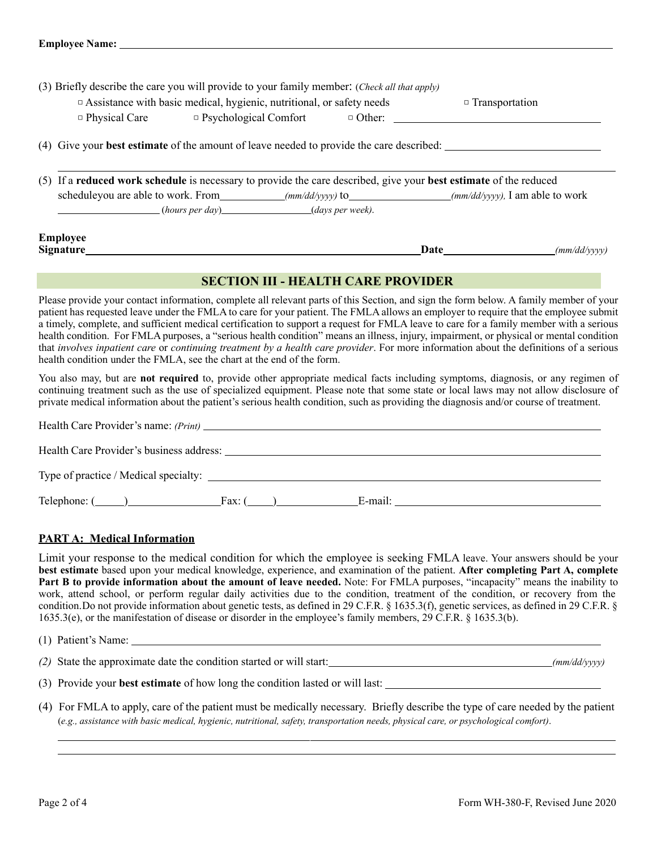| (3) Briefly describe the care you will provide to your family member: (Check all that apply)<br>$\Box$ Assistance with basic medical, hygienic, nutritional, or safety needs<br>$\Box$ Physical Care $\Box$ Psychological Comfort $\Box$ Other: |                                                                                                                                                          |  | $\Box$ Transportation                                                                                                                                                                                                               |              |
|-------------------------------------------------------------------------------------------------------------------------------------------------------------------------------------------------------------------------------------------------|----------------------------------------------------------------------------------------------------------------------------------------------------------|--|-------------------------------------------------------------------------------------------------------------------------------------------------------------------------------------------------------------------------------------|--------------|
|                                                                                                                                                                                                                                                 | (4) Give your <b>best estimate</b> of the amount of leave needed to provide the care described:                                                          |  |                                                                                                                                                                                                                                     |              |
|                                                                                                                                                                                                                                                 | (5) If a reduced work schedule is necessary to provide the care described, give your best estimate of the reduced<br>$(hours per day)$ (alays per week). |  |                                                                                                                                                                                                                                     |              |
| <b>Employee</b><br>Signature_                                                                                                                                                                                                                   |                                                                                                                                                          |  | <b>Date</b> and the same of the same of the same of the same of the same of the same of the same of the same of the same of the same of the same of the same of the same of the same of the same of the same of the same of the sam | (mm/dd/vvvv) |

# **SECTION III - HEALTH CARE PROVIDER**

Please provide your contact information, complete all relevant parts of this Section, and sign the form below. A family member of your patient has requested leave under the FMLA to care for your patient. The FMLA allows an employer to require that the employee submit a timely, complete, and sufficient medical certification to support a request for FMLA leave to care for a family member with a serious health condition. For FMLA purposes, a "serious health condition" means an illness, injury, impairment, or physical or mental condition that *involves inpatient care* or *continuing treatment by a health care provider*. For more information about the definitions of a serious health condition under the FMLA, see the chart at the end of the form.

You also may, but are **not required** to, provide other appropriate medical facts including symptoms, diagnosis, or any regimen of continuing treatment such as the use of specialized equipment. Please note that some state or local laws may not allow disclosure of private medical information about the patient's serious health condition, such as providing the diagnosis and/or course of treatment.

| Type of practice / Medical specialty:                    |
|----------------------------------------------------------|
| E-mail:<br>$\text{Telephone: } (\_\_\_\_\_\_\$<br>Fax: ( |

## **PART A: Medical Information**

Limit your response to the medical condition for which the employee is seeking FMLA leave. Your answers should be your **best estimate** based upon your medical knowledge, experience, and examination of the patient. **After completing Part A, complete Part B to provide information about the amount of leave needed.** Note: For FMLA purposes, "incapacity" means the inability to work, attend school, or perform regular daily activities due to the condition, treatment of the condition, or recovery from the condition.Do not provide information about genetic tests, as defined in 29 C.F.R. § 1635.3(f), genetic services, as defined in 29 C.F.R. § 1635.3(e), or the manifestation of disease or disorder in the employee's family members, 29 C.F.R. § 1635.3(b).

| Name.<br>Patient |  |
|------------------|--|
|                  |  |

*(2)* State the approximate date the condition started or will start: *(mm/dd/yyyy)*

(3) Provide your **best estimate** of how long the condition lasted or will last:

(4) For FMLA to apply, care of the patient must be medically necessary. Briefly describe the type of care needed by the patient (e.g., assistance with basic medical, hygienic, nutritional, safety, transportation needs, physical care, or psychological comfort).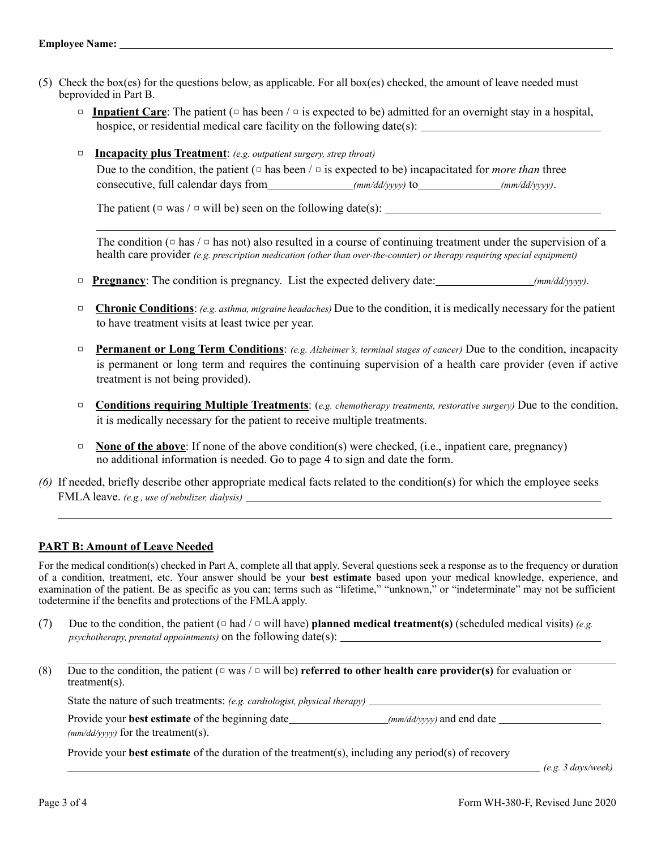- (5) Check the box(es) for the questions below, as applicable. For all box(es) checked, the amount of leave needed must beprovided in Part B.
	- □ **Inpatient Care**: The patient (□ has been / □ is expected to be) admitted for an overnight stay in a hospital, hospice, or residential medical care facility on the following date(s):
	- □ **Incapacity plus Treatment**: *(e.g. outpatient surgery, strep throat)*

Due to the condition, the patient  $(\square$  has been  $/\square$  is expected to be) incapacitated for *more than* three consecutive, full calendar days from *(mm/dd/yyyy)* to *(mm/dd/yyyy)*.

The patient ( $\Box$  was /  $\Box$  will be) seen on the following date(s):

The condition ( $\Box$  has  $\Box$ ) also resulted in a course of continuing treatment under the supervision of a health care provider *(e.g. prescription medication (other than over-the-counter) or therapy requiring special equipment)*

- □ **Pregnancy**: The condition is pregnancy. List the expected delivery date: *(mm/dd/yyyy)*.
- □ **Chronic Conditions**: *(e.g. asthma, migraine headaches)* Due to the condition, it is medically necessary for the patient to have treatment visits at least twice per year.
- **Permanent or Long Term Conditions:** *(e.g. Alzheimer's, terminal stages of cancer)* Due to the condition, incapacity is permanent or long term and requires the continuing supervision of a health care provider (even if active treatment is not being provided).
- □ **Conditions requiring Multiple Treatments**: (*e.g. chemotherapy treatments, restorative surgery*) Due to the condition, it is medically necessary for the patient to receive multiple treatments.
- **None of the above**: If none of the above condition(s) were checked, (i.e., inpatient care, pregnancy) no additional information is needed. Go to page 4 to sign and date the form.
- *(6)* If needed, briefly describe other appropriate medical facts related to the condition(s) for which the employee seeks FMLA leave. *(e.g., use of nebulizer, dialysis)*

## **PART B: Amount of Leave Needed**

For the medical condition(s) checked in Part A, complete all that apply. Several questions seek a response as to the frequency or duration of a condition, treatment, etc. Your answer should be your **best estimate** based upon your medical knowledge, experience, and examination of the patient. Be as specific as you can; terms such as "lifetime," "unknown," or "indeterminate" may not be sufficient todetermine if the benefits and protections of the FMLA apply.

- (7) Due to the condition, the patient (□ had / □ will have) **planned medical treatment(s)** (scheduled medical visits) *(e.g. psychotherapy, prenatal appointments)* on the following date(s):
- (8) Due to the condition, the patient (□ was / □ will be) **referred to other health care provider(s)** for evaluation or treatment(s).

State the nature of such treatments: *(e.g. cardiologist, physical therapy)*

Provide your **best estimate** of the beginning date *(mm/dd/yyyy)* and end date *(mm/dd/yyyy)* and end date *(mm/dd/yyyy)* and end date *(mm/dd/yyyy)* and end date *(mm/dd/yyyy)* and end date *(mm/dd/yyyy)* and en *(mm/dd/yyyy)* for the treatment(s).

Provide your **best estimate** of the duration of the treatment(s), including any period(s) of recovery

*(e.g. 3 days/week)*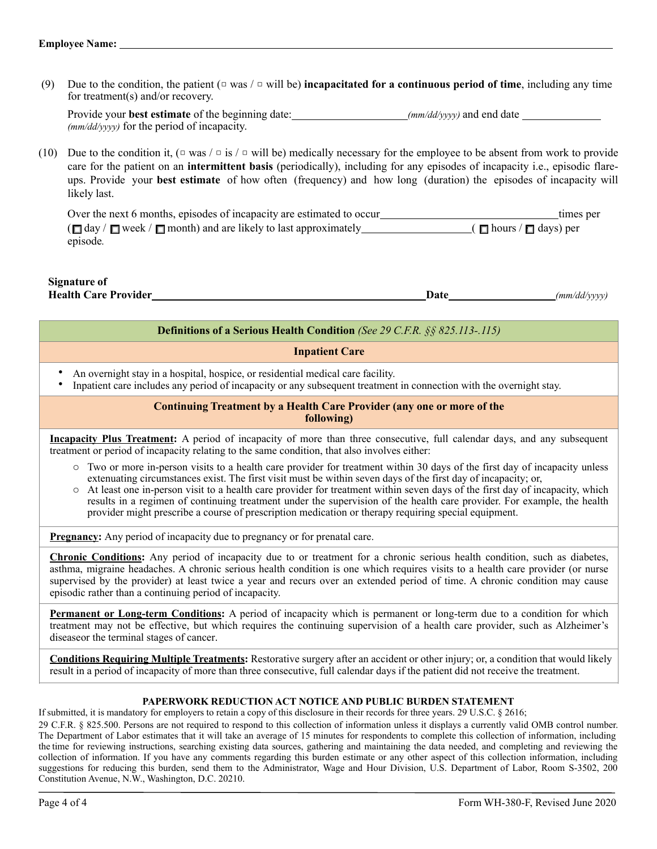(9) Due to the condition, the patient  $(\square \text{ was } \square \text{ will be})$  **incapacitated for a continuous period of time**, including any time for treatment(s) and/or recovery.

Provide your **best estimate** of the beginning date: *(mm/dd/yyyy)* and end date *(mm/dd/yyyy)* for the period of incapacity.

(10) Due to the condition it,  $(\Box$  was  $/\Box$  is  $/\Box$  will be) medically necessary for the employee to be absent from work to provide care for the patient on an **intermittent basis** (periodically), including for any episodes of incapacity i.e., episodic flareups. Provide your **best estimate** of how often (frequency) and how long (duration) the episodes of incapacity will likely last.

□ □ □ □ □ ■ Over the next 6 months, episodes of incapacity are estimated to occur the set of the set of the set of the set of the set of the set of the set of the set of the set of the set of the set of the set of the set of the set o  $(\Box$  day /  $\Box$  week /  $\Box$  month) and are likely to last approximately  $\Box$  (  $\Box$  hours /  $\Box$  days) per episode*.*

**Signature of Health Care Provider** *(mm/dd/yyyy)* **Date** *<i>(mm/dd/yyyy)* 

#### **Definitions of a Serious Health Condition** *(See 29 C.F.R. §§ 825.113-.115)*

#### **Inpatient Care**

- An overnight stay in a hospital, hospice, or residential medical care facility.
	- Inpatient care includes any period of incapacity or any subsequent treatment in connection with the overnight stay.

#### **Continuing Treatment by a Health Care Provider (any one or more of the following)**

**Incapacity Plus Treatment:** A period of incapacity of more than three consecutive, full calendar days, and any subsequent treatment or period of incapacity relating to the same condition, that also involves either:

- $\circ$  Two or more in-person visits to a health care provider for treatment within 30 days of the first day of incapacity unless extenuating circumstances exist. The first visit must be within seven days of the first day of incapacity; or,
- o At least one in-person visit to a health care provider for treatment within seven days of the first day of incapacity, which results in a regimen of continuing treatment under the supervision of the health care provider. For example, the health provider might prescribe a course of prescription medication or therapy requiring special equipment.

**Pregnancy:** Any period of incapacity due to pregnancy or for prenatal care.

**Chronic Conditions:** Any period of incapacity due to or treatment for a chronic serious health condition, such as diabetes, asthma, migraine headaches. A chronic serious health condition is one which requires visits to a health care provider (or nurse supervised by the provider) at least twice a year and recurs over an extended period of time. A chronic condition may cause episodic rather than a continuing period of incapacity.

**Permanent or Long-term Conditions:** A period of incapacity which is permanent or long-term due to a condition for which treatment may not be effective, but which requires the continuing supervision of a health care provider, such as Alzheimer's diseaseor the terminal stages of cancer.

**Conditions Requiring Multiple Treatments:** Restorative surgery after an accident or other injury; or, a condition that would likely result in a period of incapacity of more than three consecutive, full calendar days if the patient did not receive the treatment.

#### **PAPERWORK REDUCTION ACT NOTICE AND PUBLIC BURDEN STATEMENT**

If submitted, it is mandatory for employers to retain a copy of this disclosure in their records for three years. 29 U.S.C. § 2616;

29 C.F.R. § 825.500. Persons are not required to respond to this collection of information unless it displays a currently valid OMB control number. The Department of Labor estimates that it will take an average of 15 minutes for respondents to complete this collection of information, including the time for reviewing instructions, searching existing data sources, gathering and maintaining the data needed, and completing and reviewing the collection of information. If you have any comments regarding this burden estimate or any other aspect of this collection information, including suggestions for reducing this burden, send them to the Administrator, Wage and Hour Division, U.S. Department of Labor, Room S-3502, 200 Constitution Avenue, N.W., Washington, D.C. 20210.